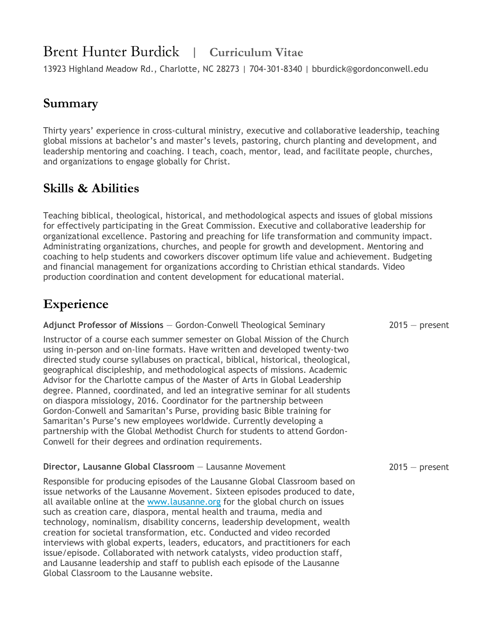# Brent Hunter Burdick | **Curriculum Vitae**

13923 Highland Meadow Rd., Charlotte, NC 28273 | 704-301-8340 | bburdick@gordonconwell.edu

#### **Summary**

Thirty years' experience in cross-cultural ministry, executive and collaborative leadership, teaching global missions at bachelor's and master's levels, pastoring, church planting and development, and leadership mentoring and coaching. I teach, coach, mentor, lead, and facilitate people, churches, and organizations to engage globally for Christ.

### **Skills & Abilities**

Teaching biblical, theological, historical, and methodological aspects and issues of global missions for effectively participating in the Great Commission. Executive and collaborative leadership for organizational excellence. Pastoring and preaching for life transformation and community impact. Administrating organizations, churches, and people for growth and development. Mentoring and coaching to help students and coworkers discover optimum life value and achievement. Budgeting and financial management for organizations according to Christian ethical standards. Video production coordination and content development for educational material.

# **Experience**

| Adjunct Professor of Missions - Gordon-Conwell Theological Seminary                                                                                                                                                                                                                                                                                                                                                                                                                                                                                                                                                                                                                                                                                                                                                                                                | $2015 - present$ |
|--------------------------------------------------------------------------------------------------------------------------------------------------------------------------------------------------------------------------------------------------------------------------------------------------------------------------------------------------------------------------------------------------------------------------------------------------------------------------------------------------------------------------------------------------------------------------------------------------------------------------------------------------------------------------------------------------------------------------------------------------------------------------------------------------------------------------------------------------------------------|------------------|
| Instructor of a course each summer semester on Global Mission of the Church<br>using in-person and on-line formats. Have written and developed twenty-two<br>directed study course syllabuses on practical, biblical, historical, theological,<br>geographical discipleship, and methodological aspects of missions. Academic<br>Advisor for the Charlotte campus of the Master of Arts in Global Leadership<br>degree. Planned, coordinated, and led an integrative seminar for all students<br>on diaspora missiology, 2016. Coordinator for the partnership between<br>Gordon-Conwell and Samaritan's Purse, providing basic Bible training for<br>Samaritan's Purse's new employees worldwide. Currently developing a<br>partnership with the Global Methodist Church for students to attend Gordon-<br>Conwell for their degrees and ordination requirements. |                  |
| Director, Lausanne Global Classroom - Lausanne Movement                                                                                                                                                                                                                                                                                                                                                                                                                                                                                                                                                                                                                                                                                                                                                                                                            | $2015 - present$ |
| Responsible for producing episodes of the Lausanne Global Classroom based on<br>issue networks of the Lausanne Movement. Sixteen episodes produced to date,                                                                                                                                                                                                                                                                                                                                                                                                                                                                                                                                                                                                                                                                                                        |                  |

all available online at the [www.lausanne.org](http://www.lausanne.org/) for the global church on issues such as creation care, diaspora, mental health and trauma, media and technology, nominalism, disability concerns, leadership development, wealth creation for societal transformation, etc. Conducted and video recorded interviews with global experts, leaders, educators, and practitioners for each issue/episode. Collaborated with network catalysts, video production staff, and Lausanne leadership and staff to publish each episode of the Lausanne Global Classroom to the Lausanne website.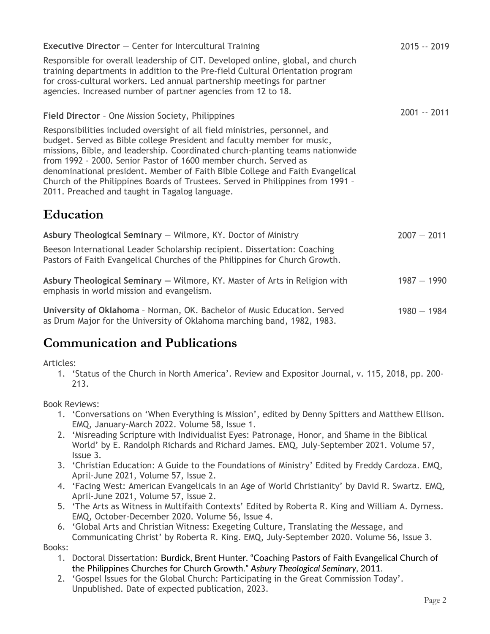| <b>Executive Director</b> $-$ Center for Intercultural Training                                                                                                                                                                                                                                                                                                                                                                                                                                                                   | 2015 -- 2019  |
|-----------------------------------------------------------------------------------------------------------------------------------------------------------------------------------------------------------------------------------------------------------------------------------------------------------------------------------------------------------------------------------------------------------------------------------------------------------------------------------------------------------------------------------|---------------|
| Responsible for overall leadership of CIT. Developed online, global, and church<br>training departments in addition to the Pre-field Cultural Orientation program<br>for cross-cultural workers. Led annual partnership meetings for partner<br>agencies. Increased number of partner agencies from 12 to 18.                                                                                                                                                                                                                     |               |
| Field Director - One Mission Society, Philippines                                                                                                                                                                                                                                                                                                                                                                                                                                                                                 | 2001 -- 2011  |
| Responsibilities included oversight of all field ministries, personnel, and<br>budget. Served as Bible college President and faculty member for music,<br>missions, Bible, and leadership. Coordinated church-planting teams nationwide<br>from 1992 - 2000. Senior Pastor of 1600 member church. Served as<br>denominational president. Member of Faith Bible College and Faith Evangelical<br>Church of the Philippines Boards of Trustees. Served in Philippines from 1991 -<br>2011. Preached and taught in Tagalog language. |               |
| <b>Education</b>                                                                                                                                                                                                                                                                                                                                                                                                                                                                                                                  |               |
| Asbury Theological Seminary - Wilmore, KY. Doctor of Ministry                                                                                                                                                                                                                                                                                                                                                                                                                                                                     | $2007 - 2011$ |
| Beeson International Leader Scholarship recipient. Dissertation: Coaching<br>Pastors of Faith Evangelical Churches of the Philippines for Church Growth.                                                                                                                                                                                                                                                                                                                                                                          |               |
| Asbury Theological Seminary - Wilmore, KY. Master of Arts in Religion with<br>emphasis in world mission and evangelism.                                                                                                                                                                                                                                                                                                                                                                                                           | $1987 - 1990$ |
| University of Oklahoma - Norman, OK. Bachelor of Music Education. Served<br>as Drum Major for the University of Oklahoma marching band, 1982, 1983.                                                                                                                                                                                                                                                                                                                                                                               | $1980 - 1984$ |

### **Communication and Publications**

Articles:

1. 'Status of the Church in North America'. Review and Expositor Journal, v. 115, 2018, pp. 200- 213.

Book Reviews:

- 1. 'Conversations on 'When Everything is Mission', edited by Denny Spitters and Matthew Ellison. EMQ, January-March 2022. Volume 58, Issue 1.
- 2. 'Misreading Scripture with Individualist Eyes: Patronage, Honor, and Shame in the Biblical World' by E. Randolph Richards and Richard James. EMQ, July–September 2021. Volume 57, Issue 3.
- 3. 'Christian Education: A Guide to the Foundations of Ministry' Edited by Freddy Cardoza. EMQ, April-June 2021, Volume 57, Issue 2.
- 4. 'Facing West: American Evangelicals in an Age of World Christianity' by David R. Swartz. EMQ, April-June 2021, Volume 57, Issue 2.
- 5. 'The Arts as Witness in Multifaith Contexts' Edited by Roberta R. King and William A. Dyrness. EMQ, October-December 2020. Volume 56, Issue 4.
- 6. 'Global Arts and Christian Witness: Exegeting Culture, Translating the Message, and Communicating Christ' by Roberta R. King. EMQ, July-September 2020. Volume 56, Issue 3.

Books:

- 1. Doctoral Dissertation: Burdick, Brent Hunter. "Coaching Pastors of Faith Evangelical Church of the Philippines Churches for Church Growth." *Asbury Theological Seminary*, 2011.
- 2. 'Gospel Issues for the Global Church: Participating in the Great Commission Today'. Unpublished. Date of expected publication, 2023.